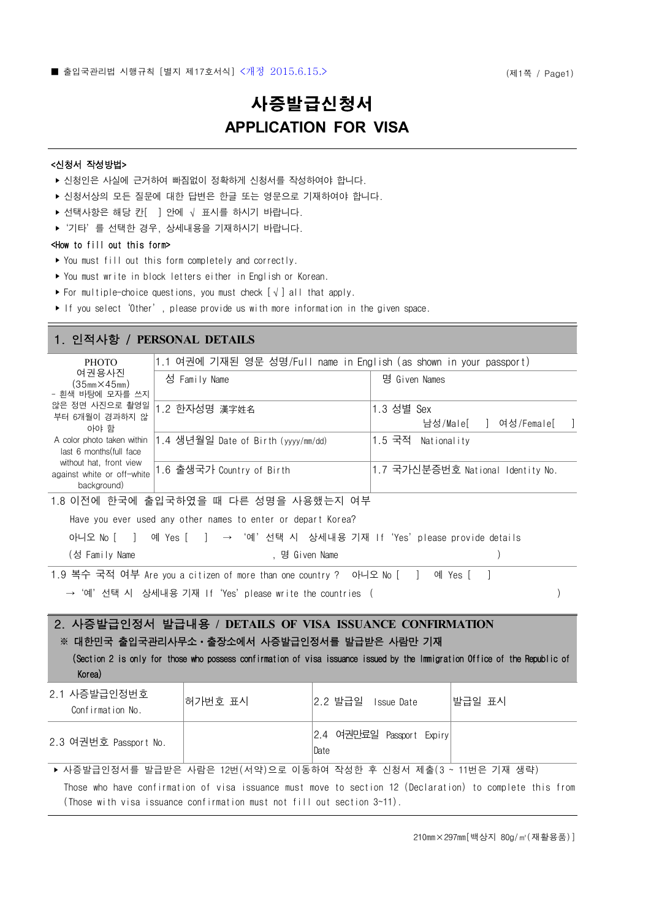# 사증발급신청서 **APPLICATION FOR VISA**

### <신청서 작성방법>

- ‣ 신청인은 사실에 근거하여 빠짐없이 정확하게 신청서를 작성하여야 합니다.
- ‣ 신청서상의 모든 질문에 대한 답변은 한글 또는 영문으로 기재하여야 합니다.
- ▶ 선택사항은 해당 칸[ ] 안에 √ 표시를 하시기 바랍니다.
- ‣'기타'를 선택한 경우, 상세내용을 기재하시기 바랍니다.

### <How to fill out this form>

- ‣ You must fill out this form completely and correctly.
- ‣ You must write in block letters either in English or Korean.
- ‣ For multiple-choice questions, you must check [√] all that apply.
- ‣ If you select'Other', please provide us with more information in the given space.

## 1. 인적사항 / **PERSONAL DETAILS**

| <b>PHOTO</b>                                                         | 1.1 여권에 기재된 영문 성명/Full name in English (as shown in your passport) |                                     |
|----------------------------------------------------------------------|--------------------------------------------------------------------|-------------------------------------|
| 여권용사진<br>(35mm×45mm)<br>- 흰색 바탕에 모자를 쓰지                              | 성 Family Name                                                      | 명 Given Names                       |
| 않은 정면 사진으로 촬영일<br>부터 6개월이 경과하지 않<br>아야 함                             | 1.2 한자성명 漢字姓名                                                      | 1.3 성별 Sex<br>남성/Male[ ㅣ 여성/Female[ |
| A color photo taken within<br>last 6 months (full face               | 1.4 생년월일 Date of Birth (yyyy/mm/dd)                                | 1.5 국적 Nationality                  |
| without hat, front view<br>against white or off-white<br>background) | 1.6 출생국가 Country of Birth                                          | 1.7 국가신분증번호 National Identity No.   |
|                                                                      | 그 어지게 이 글을 먹는 것 같은 그 귀여운 때 뒤를 거려요 거요해 다시 어려                        |                                     |

1.8 이전에 한국에 출입국하였을 때 다른 성명을 사용했는지 여부

|  |  | Have you ever used any other names to enter or depart Korea? |  |  |
|--|--|--------------------------------------------------------------|--|--|
|--|--|--------------------------------------------------------------|--|--|

|                |  |                | 아니오 No [ ] 예 Yes [ ] → '예'선택 시 상세내용 기재 If'Yes'please provide details |  |
|----------------|--|----------------|----------------------------------------------------------------------|--|
| (성 Family Name |  | . 명 Given Name |                                                                      |  |

1.9 복수 국적 여부 Are you a citizen of more than one country ? 아니오 No [ ] 예 Yes [ ]<br>→ '예'선택 시 상세내용 기재 If'Yes'please write the countries ( )

2. 사증발급인정서 발급내용 **/ DETAILS OF VISA ISSUANCE CONFIRMATION** ※ 대한민국 출입국관리사무소ㆍ출장소에서 사증발급인정서를 발급받은 사람만 기재

 (Section 2 is only for those who possess confirmation of visa issuance issued by the Immigration Office of the Republic of Korea)

| 2.1 사증발급인정번호<br>Confirmation No. | 허가번호 표시 | 2.2 발급일 Issue Date                                              | 발급일 표시 |
|----------------------------------|---------|-----------------------------------------------------------------|--------|
| 2.3 여권번호 Passport No.            |         | 2.4 여권만료일 Passport Expiry<br>Date                               |        |
|                                  |         | ▶ 사증발급인정서를 발급받은 사람은 12번(서약)으로 이동하여 작성한 후 신청서 제출(3 ~ 11번은 기재 생략) |        |
|                                  |         |                                                                 |        |

 Those who have confirmation of visa issuance must move to section 12 (Declaration) to complete this from (Those with visa issuance confirmation must not fill out section 3~11).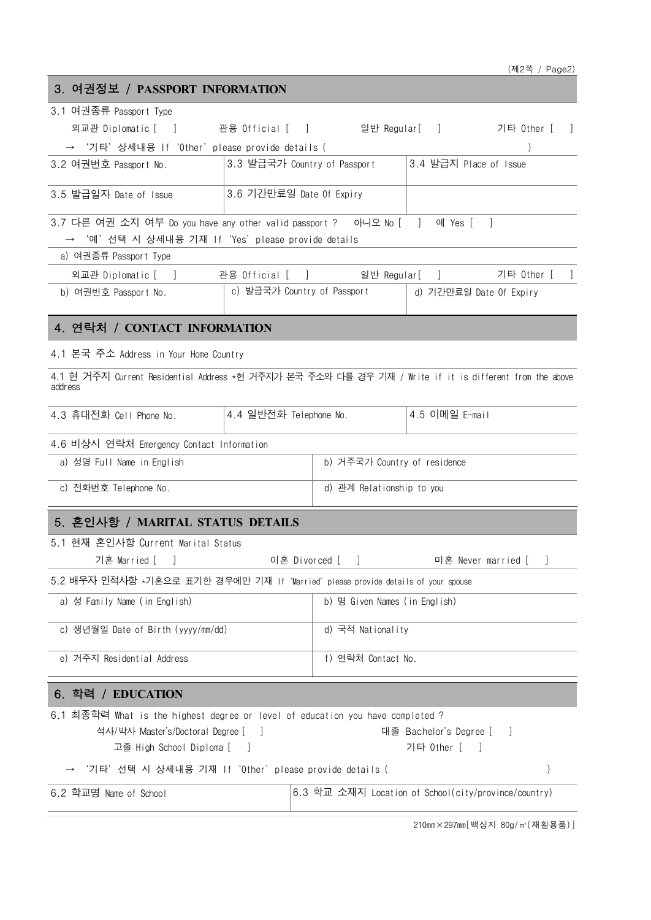# 3. 여권정보 / **PASSPORT INFORMATION**

| 3.1 여권종류 Passport Type                                                                                             |                               |                                                       |
|--------------------------------------------------------------------------------------------------------------------|-------------------------------|-------------------------------------------------------|
| 외교관 Diplomatic [ ] 간용 Official [ ] 일반 Regular[ ] 기타 Other [ ]                                                      |                               |                                                       |
| → '기타' 상세내용 If 'Other' please provide details (                                                                    |                               |                                                       |
| 3.2 여권번호 Passport No.                                                                                              | 3.3 발급국가 Country of Passport  | 3.4 발급지 Place of Issue                                |
| 3.6 기간만료일 Date Of Expiry<br>3.5 발급일자 Date of Issue                                                                 |                               |                                                       |
| 3.7 다른 여권 소지 여부 Do you have any other valid passport ? _ 아니오 No [ ]                                                |                               | 예 Yes [                                               |
| → '예'선택 시 상세내용 기재 If'Yes'please provide details                                                                    |                               |                                                       |
| a) 여권종류 Passport Type                                                                                              |                               |                                                       |
| 외교관 Diplomatic [ ] 간용 Official [ ] 일반 Regular[ ]                                                                   |                               | 기타 Other [                                            |
| b) 여권번호 Passport No.                                                                                               |                               | c) 발급국가 Country of Passport   d) 기간만료일 Date Of Expiry |
| 4. 연락처 / CONTACT INFORMATION                                                                                       |                               |                                                       |
| 4.1 본국 주소 Address in Your Home Country                                                                             |                               |                                                       |
| 4.1 현 거주지 Current Residential Address *현 거주지가 본국 주소와 다를 경우 기재 / Write if it is different from the above<br>address |                               |                                                       |
| 4.4 일반전화 Telephone No.<br>4.3 휴대전화 Cell Phone No.                                                                  |                               | 4.5 이메일 E-mail                                        |
| 4.6 비상시 연락처 Emergency Contact Information                                                                          |                               |                                                       |
| a) 성명 Full Name in English                                                                                         | b) 거주국가 Country of residence  |                                                       |
| c) 전화번호 Telephone No.                                                                                              | d) 관계 Relationship to you     |                                                       |
| 5. 혼인사항 / MARITAL STATUS DETAILS                                                                                   |                               |                                                       |
| 5.1 현재 혼인사항 Current Marital Status                                                                                 |                               |                                                       |
| 이혼 Divorced [ ]<br>기혼 Married [ ]                                                                                  |                               | 미혼 Never married [                                    |
| 5.2 배우자 인적사항 *기혼으로 표기한 경우에만 기재 If 'Married' please provide details of your spouse                                  |                               |                                                       |
| a) 성 Family Name (in English)                                                                                      | b) 명 Given Names (in English) |                                                       |
| c) 생년월일 Date of Birth (yyyy/mm/dd)                                                                                 | d) 국적 Nationality             |                                                       |
| e) 거주지 Residential Address                                                                                         | f) 연락처 Contact No.            |                                                       |
| 6. 학력 / EDUCATION                                                                                                  |                               |                                                       |
| 6.1 최종학력 What is the highest degree or level of education you have completed ?                                     |                               |                                                       |
| 석사/박사 Master's/Doctoral Degree [<br>고졸 High School Diploma [                                                       |                               | 대졸 Bachelor's Degree [<br>기타 Other [                  |
| '기타'선택 시 상세내용 기재 If'Other'please provide details (                                                                 |                               |                                                       |
| 6.2 학교명 Name of School                                                                                             |                               | 6.3 학교 소재지 Location of School(city/province/country)  |
|                                                                                                                    |                               |                                                       |

210mm×297mm[백상지 80g/㎡(재활용품)]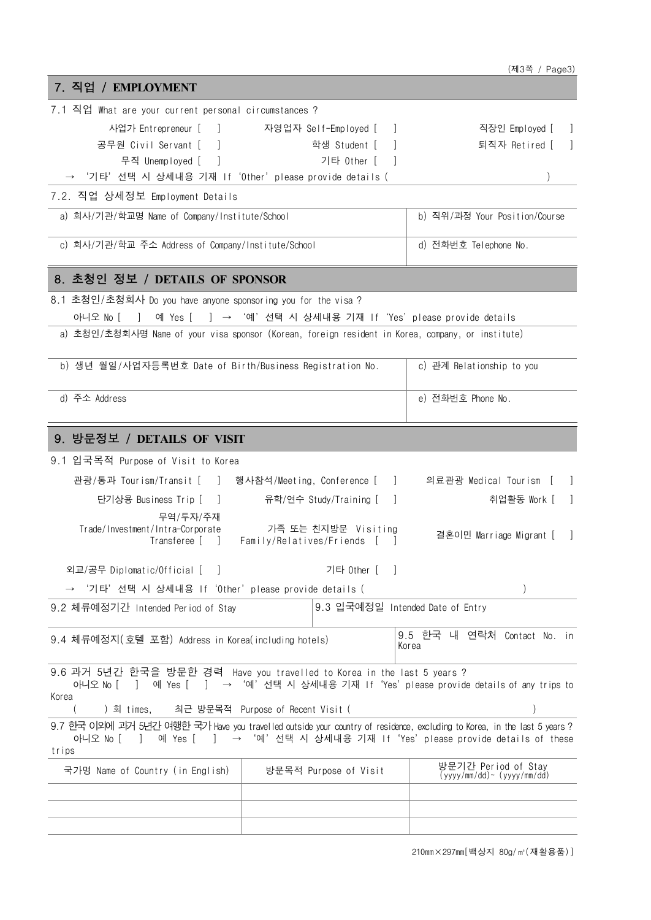|                                                                                                                                                                                  |                                                   | (제3쪽 / Page3)                                                     |
|----------------------------------------------------------------------------------------------------------------------------------------------------------------------------------|---------------------------------------------------|-------------------------------------------------------------------|
| 7. 직업 / EMPLOYMENT                                                                                                                                                               |                                                   |                                                                   |
| 7.1 직업 What are your current personal circumstances ?                                                                                                                            |                                                   |                                                                   |
| 사업가 Entrepreneur [<br>$\sim$                                                                                                                                                     | 자영업자 Self-Employed [                              | 직장인 Employed [                                                    |
| 공무원 Civil Servant [                                                                                                                                                              | 학생 Student [                                      | 퇴직자 Retired [                                                     |
| 무직 Unemployed [<br>$\blacksquare$                                                                                                                                                | 기타 Other [                                        |                                                                   |
| '기타'선택 시 상세내용 기재 If'Other'please provide details (                                                                                                                               |                                                   |                                                                   |
| 7.2. 직업 상세정보 Employment Details                                                                                                                                                  |                                                   |                                                                   |
| a) 회사/기관/학교명 Name of Company/Institute/School                                                                                                                                    |                                                   | b) 직위/과정 Your Position/Course                                     |
|                                                                                                                                                                                  |                                                   |                                                                   |
| c) 회사/기관/학교 주소 Address of Company/Institute/School                                                                                                                               |                                                   | d) 전화번호 Telephone No.                                             |
| 8. 초청인 정보 / DETAILS OF SPONSOR                                                                                                                                                   |                                                   |                                                                   |
| 8.1 초청인/초청회사 Do you have anyone sponsoring you for the visa?                                                                                                                     |                                                   |                                                                   |
| 아니오 No [<br>예 Yes [<br>$\Box$                                                                                                                                                    | ] → '예'선택 시 상세내용 기재 If'Yes'please provide details |                                                                   |
| a) 초청인/초청회사명 Name of your visa sponsor (Korean, foreign resident in Korea, company, or institute)                                                                                |                                                   |                                                                   |
|                                                                                                                                                                                  |                                                   |                                                                   |
| b) 생년 월일/사업자등록번호 Date of Birth/Business Registration No.                                                                                                                         |                                                   | c) 관계 Relationship to you                                         |
| d) 주소 Address                                                                                                                                                                    |                                                   | e) 전화번호 Phone No.                                                 |
| 9. 방문정보 / DETAILS OF VISIT                                                                                                                                                       |                                                   |                                                                   |
| 9.1 입국목적 Purpose of Visit to Korea                                                                                                                                               |                                                   |                                                                   |
| 관광/통과 Tourism/Transit [ ] 행사참석/Meeting, Conference [                                                                                                                             |                                                   | and the state<br>의료관광 Medical Tourism [                           |
|                                                                                                                                                                                  |                                                   |                                                                   |
| 단기상용 Business Trip [ ]                                                                                                                                                           | 유학/연수 Study/Training [<br>$\blacksquare$          | 취업활동 Work [<br>$\overline{\phantom{a}}$                           |
| 무역/투자/주재<br>Trade/Investment/Intra-Corporate                                                                                                                                     | 가족 또는 친지방문 Visiting                               |                                                                   |
| Transferee [ ]                                                                                                                                                                   | Family/Relatives/Friends [                        | 결혼이민 Marriage Migrant [                                           |
| 외교/공무 Diplomatic/Official [ ]                                                                                                                                                    | 기타 Other [                                        |                                                                   |
| '기타' 선택 시 상세내용 If 'Other' please provide details (                                                                                                                               |                                                   | $\mathcal{L}$                                                     |
| 9.2 체류예정기간 Intended Period of Stay                                                                                                                                               | 9.3 입국예정일 Intended Date of Entry                  |                                                                   |
|                                                                                                                                                                                  |                                                   |                                                                   |
| 9.4 체류예정지(호텔 포함) Address in Korea(including hotels)                                                                                                                              |                                                   | 9.5 한국 내 연락처 Contact No. in<br>Korea                              |
|                                                                                                                                                                                  |                                                   |                                                                   |
| 9.6 과거 5년간 한국을 방문한 경력 Have you travelled to Korea in the last 5 years ?<br>아니오 No [<br>예 Yes [<br>$\perp$<br>Korea                                                               |                                                   | ] → '예'선택 시 상세내용 기재 If'Yes'please provide details of any trips to |
| ) 회 times,                                                                                                                                                                       | 최근 방문목적 Purpose of Recent Visit (                 |                                                                   |
| 9.7 한국 이외에 괴거 5년간 여행한 국가 Have you travelled outside your country of residence, excluding to Korea, in the last 5 years ?<br>아니오 No l<br>예 Yes [<br>$\mathcal{L}$<br>$\mathbf{1}$ |                                                   | → '예' 선택 시 상세내용 기재 If 'Yes' please provide details of these       |
| trips                                                                                                                                                                            |                                                   |                                                                   |
| 국가명 Name of Country (in English)                                                                                                                                                 | 방문목적 Purpose of Visit                             | 방문기간 Period of Stay<br>$(yyyy/mm/dd) \sim (yyyy/mm/dd)$           |
|                                                                                                                                                                                  |                                                   |                                                                   |
|                                                                                                                                                                                  |                                                   |                                                                   |
|                                                                                                                                                                                  |                                                   |                                                                   |

210mm×297mm[백상지 80g/㎡(재활용품)]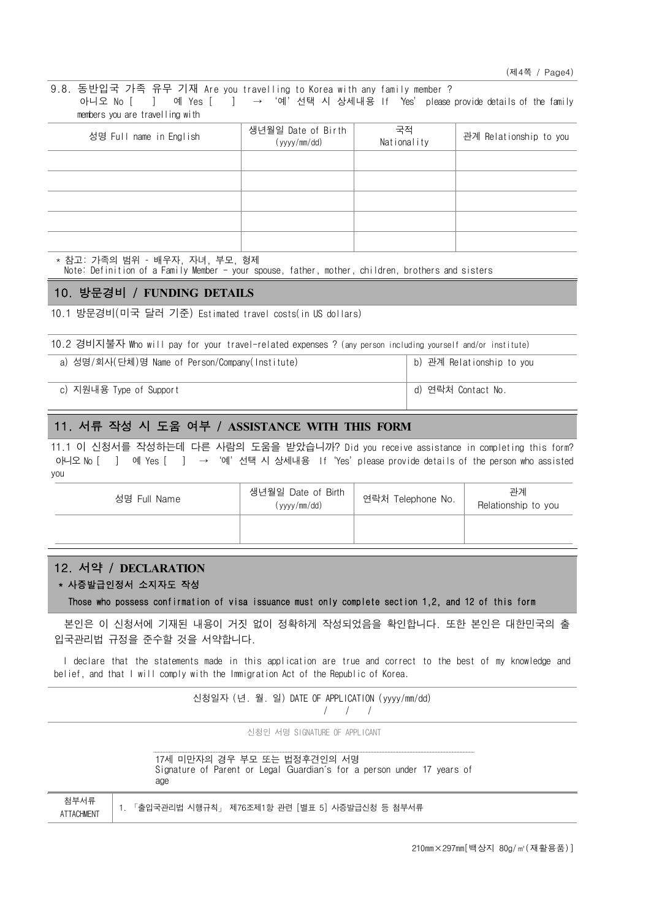9.8. 동반입국 가족 유무 기재 Are you travelling to Korea with any family member ? 아니오 No [ ] 예 Yes [ ] → '예' 선택 시 상세내용 If 'Yes' please provide details of the family members you are travelling with

| 성명 Full name in English | 생년월일 Date of Birth<br>(yyyy/mm/dd) | 국적<br>Nationality | 관계 Relationship to you |
|-------------------------|------------------------------------|-------------------|------------------------|
|                         |                                    |                   |                        |
|                         |                                    |                   |                        |
|                         |                                    |                   |                        |
|                         |                                    |                   |                        |
|                         |                                    |                   |                        |

\* 참고: 가족의 범위 – 배우자, 자녀, 부모, 형제

Note: Definition of a Family Member - your spouse, father, mother, children, brothers and sisters

#### 10. 방문경비 / **FUNDING DETAILS**

10.1 방문경비(미국 달러 기준) Estimated travel costs(in US dollars)

| 10.2 경비지불자 Who will pay for your travel-related expenses ? (any person including yourself and/or institute) |                           |
|-------------------------------------------------------------------------------------------------------------|---------------------------|
| a) 성명/회사(단체)명 Name of Person/Company(Institute)                                                             | b) 관계 Relationship to you |
| c) 지원내용 Type of Support                                                                                     | d) 연락처 Contact No.        |

# 11. 서류 작성 시 도움 여부 / **ASSISTANCE WITH THIS FORM**

11.1 이 신청서를 작성하는데 다른 사람의 도움을 받았습니까? Did you receive assistance in completing this form? 아니오 No [ ] 예 Yes [ ] → '예'선택 시 상세내용 If 'Yes' please provide details of the person who assisted you

| 성명 Full Name | 생년월일 Date of Birth<br>(yyyy/mm/dd) | 연락처 Telephone No. | 관계<br>Relationship to you |
|--------------|------------------------------------|-------------------|---------------------------|
|              |                                    |                   |                           |

### 12. 서약 / **DECLARATION**

### \* 사증발급인정서 소지자도 작성

Those who possess confirmation of visa issuance must only complete section 1,2, and 12 of this form

 본인은 이 신청서에 기재된 내용이 거짓 없이 정확하게 작성되었음을 확인합니다. 또한 본인은 대한민국의 출 입국관리법 규정을 준수할 것을 서약합니다.

 I declare that the statements made in this application are true and correct to the best of my knowledge and belief, and that I will comply with the Immigration Act of the Republic of Korea.

|                           | 신청일자 (년. 월. 일) DATE OF APPLICATION (yyyy/mm/dd)                                                              |
|---------------------------|--------------------------------------------------------------------------------------------------------------|
|                           | 신청인 서명 SIGNATURE OF APPLICANT                                                                                |
|                           | 17세 미만자의 경우 부모 또는 법정후견인의 서명<br>Signature of Parent or Legal Guardian's for a person under 17 years of<br>age |
| 첨부서류<br><b>ATTACHMENT</b> | 「출입국관리법 시행규칙」 제76조제1항 관련 [별표 5] 시증발급신청 등 첨부서류                                                                |